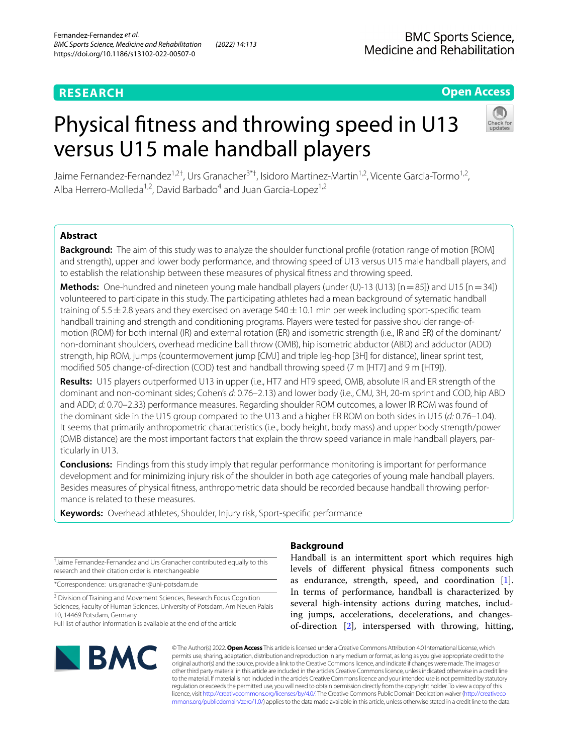# **RESEARCH**

# **Open Access**

# Physical ftness and throwing speed in U13 versus U15 male handball players



Jaime Fernandez-Fernandez<sup>1,2†</sup>, Urs Granacher<sup>3\*†</sup>, Isidoro Martinez-Martin<sup>1,2</sup>, Vicente Garcia-Tormo<sup>1,2</sup>, Alba Herrero-Molleda<sup>1,2</sup>, David Barbado<sup>4</sup> and Juan Garcia-Lopez<sup>1,2</sup>

# **Abstract**

**Background:** The aim of this study was to analyze the shoulder functional profle (rotation range of motion [ROM] and strength), upper and lower body performance, and throwing speed of U13 versus U15 male handball players, and to establish the relationship between these measures of physical ftness and throwing speed.

**Methods:** One-hundred and nineteen young male handball players (under (U)-13 (U13)  $[n=85]$ ) and U15  $[n=34]$ ) volunteered to participate in this study. The participating athletes had a mean background of sytematic handball training of  $5.5 \pm 2.8$  years and they exercised on average  $540 \pm 10.1$  min per week including sport-specific team handball training and strength and conditioning programs. Players were tested for passive shoulder range-ofmotion (ROM) for both internal (IR) and external rotation (ER) and isometric strength (i.e., IR and ER) of the dominant/ non-dominant shoulders, overhead medicine ball throw (OMB), hip isometric abductor (ABD) and adductor (ADD) strength, hip ROM, jumps (countermovement jump [CMJ] and triple leg-hop [3H] for distance), linear sprint test, modifed 505 change-of-direction (COD) test and handball throwing speed (7 m [HT7] and 9 m [HT9]).

**Results:** U15 players outperformed U13 in upper (i.e., HT7 and HT9 speed, OMB, absolute IR and ER strength of the dominant and non-dominant sides; Cohen's *d:* 0.76–2.13) and lower body (i.e., CMJ, 3H, 20-m sprint and COD, hip ABD and ADD; *d:* 0.70–2.33) performance measures. Regarding shoulder ROM outcomes, a lower IR ROM was found of the dominant side in the U15 group compared to the U13 and a higher ER ROM on both sides in U15 (*d:* 0.76–1.04). It seems that primarily anthropometric characteristics (i.e., body height, body mass) and upper body strength/power (OMB distance) are the most important factors that explain the throw speed variance in male handball players, par‑ ticularly in U13.

**Conclusions:** Findings from this study imply that regular performance monitoring is important for performance development and for minimizing injury risk of the shoulder in both age categories of young male handball players. Besides measures of physical fitness, anthropometric data should be recorded because handball throwing performance is related to these measures.

**Keywords:** Overhead athletes, Shoulder, Injury risk, Sport-specifc performance

† Jaime Fernandez-Fernandez and Urs Granacher contributed equally to this research and their citation order is interchangeable

\*Correspondence: urs.granacher@uni-potsdam.de

<sup>3</sup> Division of Training and Movement Sciences, Research Focus Cognition Sciences, Faculty of Human Sciences, University of Potsdam, Am Neuen Palais 10, 14469 Potsdam, Germany

Full list of author information is available at the end of the article



# **Background**

Handball is an intermittent sport which requires high levels of diferent physical ftness components such as endurance, strength, speed, and coordination [\[1](#page-10-0)]. In terms of performance, handball is characterized by several high-intensity actions during matches, including jumps, accelerations, decelerations, and changesof-direction [\[2](#page-10-1)], interspersed with throwing, hitting,

© The Author(s) 2022. **Open Access** This article is licensed under a Creative Commons Attribution 4.0 International License, which permits use, sharing, adaptation, distribution and reproduction in any medium or format, as long as you give appropriate credit to the original author(s) and the source, provide a link to the Creative Commons licence, and indicate if changes were made. The images or other third party material in this article are included in the article's Creative Commons licence, unless indicated otherwise in a credit line to the material. If material is not included in the article's Creative Commons licence and your intended use is not permitted by statutory regulation or exceeds the permitted use, you will need to obtain permission directly from the copyright holder. To view a copy of this licence, visit [http://creativecommons.org/licenses/by/4.0/.](http://creativecommons.org/licenses/by/4.0/) The Creative Commons Public Domain Dedication waiver ([http://creativeco](http://creativecommons.org/publicdomain/zero/1.0/) [mmons.org/publicdomain/zero/1.0/](http://creativecommons.org/publicdomain/zero/1.0/)) applies to the data made available in this article, unless otherwise stated in a credit line to the data.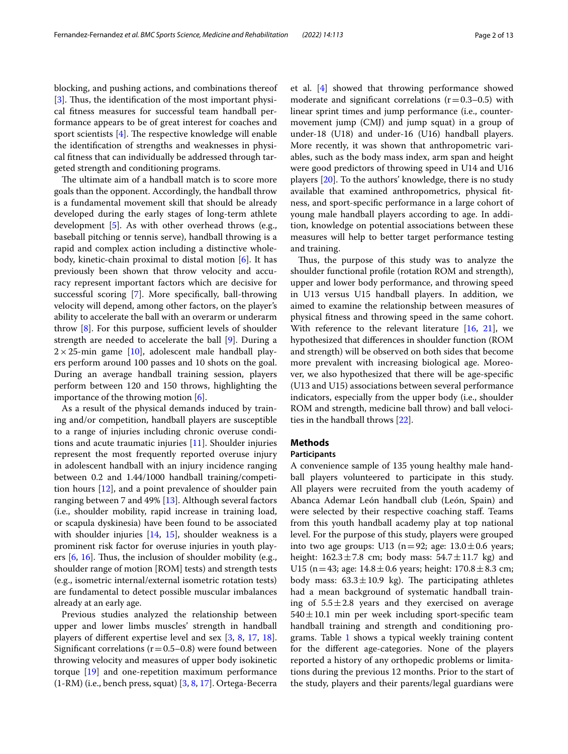blocking, and pushing actions, and combinations thereof [[3\]](#page-10-2). Thus, the identification of the most important physical ftness measures for successful team handball performance appears to be of great interest for coaches and sport scientists  $[4]$  $[4]$ . The respective knowledge will enable the identifcation of strengths and weaknesses in physical ftness that can individually be addressed through targeted strength and conditioning programs.

The ultimate aim of a handball match is to score more goals than the opponent. Accordingly, the handball throw is a fundamental movement skill that should be already developed during the early stages of long-term athlete development [\[5](#page-10-4)]. As with other overhead throws (e.g., baseball pitching or tennis serve), handball throwing is a rapid and complex action including a distinctive wholebody, kinetic-chain proximal to distal motion [\[6](#page-10-5)]. It has previously been shown that throw velocity and accuracy represent important factors which are decisive for successful scoring [[7\]](#page-10-6). More specifcally, ball-throwing velocity will depend, among other factors, on the player's ability to accelerate the ball with an overarm or underarm throw  $[8]$  $[8]$ . For this purpose, sufficient levels of shoulder strength are needed to accelerate the ball [[9\]](#page-10-8). During a  $2 \times 25$ -min game [[10](#page-10-9)], adolescent male handball players perform around 100 passes and 10 shots on the goal. During an average handball training session, players perform between 120 and 150 throws, highlighting the importance of the throwing motion [[6\]](#page-10-5).

As a result of the physical demands induced by training and/or competition, handball players are susceptible to a range of injuries including chronic overuse conditions and acute traumatic injuries [[11\]](#page-10-10). Shoulder injuries represent the most frequently reported overuse injury in adolescent handball with an injury incidence ranging between 0.2 and 1.44/1000 handball training/competition hours [\[12\]](#page-10-11), and a point prevalence of shoulder pain ranging between 7 and 49% [[13\]](#page-10-12). Although several factors (i.e., shoulder mobility, rapid increase in training load, or scapula dyskinesia) have been found to be associated with shoulder injuries [\[14,](#page-10-13) [15](#page-10-14)], shoulder weakness is a prominent risk factor for overuse injuries in youth players  $[6, 16]$  $[6, 16]$  $[6, 16]$  $[6, 16]$ . Thus, the inclusion of shoulder mobility (e.g., shoulder range of motion [ROM] tests) and strength tests (e.g., isometric internal/external isometric rotation tests) are fundamental to detect possible muscular imbalances already at an early age.

Previous studies analyzed the relationship between upper and lower limbs muscles' strength in handball players of diferent expertise level and sex [[3,](#page-10-2) [8](#page-10-7), [17,](#page-11-0) [18](#page-11-1)]. Significant correlations ( $r=0.5-0.8$ ) were found between throwing velocity and measures of upper body isokinetic torque [\[19](#page-11-2)] and one-repetition maximum performance  $(1-RM)$  (i.e., bench press, squat)  $[3, 8, 17]$  $[3, 8, 17]$  $[3, 8, 17]$  $[3, 8, 17]$  $[3, 8, 17]$  $[3, 8, 17]$ . Ortega-Becerra et al. [[4\]](#page-10-3) showed that throwing performance showed moderate and significant correlations  $(r=0.3-0.5)$  with linear sprint times and jump performance (i.e., countermovement jump (CMJ) and jump squat) in a group of under-18 (U18) and under-16 (U16) handball players. More recently, it was shown that anthropometric variables, such as the body mass index, arm span and height were good predictors of throwing speed in U14 and U16 players [\[20](#page-11-3)]. To the authors' knowledge, there is no study available that examined anthropometrics, physical ftness, and sport-specifc performance in a large cohort of young male handball players according to age. In addition, knowledge on potential associations between these measures will help to better target performance testing and training.

Thus, the purpose of this study was to analyze the shoulder functional profle (rotation ROM and strength), upper and lower body performance, and throwing speed in U13 versus U15 handball players. In addition, we aimed to examine the relationship between measures of physical ftness and throwing speed in the same cohort. With reference to the relevant literature [[16](#page-10-15), [21\]](#page-11-4), we hypothesized that diferences in shoulder function (ROM and strength) will be observed on both sides that become more prevalent with increasing biological age. Moreover, we also hypothesized that there will be age-specifc (U13 and U15) associations between several performance indicators, especially from the upper body (i.e., shoulder ROM and strength, medicine ball throw) and ball velocities in the handball throws [\[22](#page-11-5)].

# **Methods**

## **Participants**

A convenience sample of 135 young healthy male handball players volunteered to participate in this study. All players were recruited from the youth academy of Abanca Ademar León handball club (León, Spain) and were selected by their respective coaching staf. Teams from this youth handball academy play at top national level. For the purpose of this study, players were grouped into two age groups: U13 (n=92; age:  $13.0 \pm 0.6$  years; height:  $162.3 \pm 7.8$  cm; body mass:  $54.7 \pm 11.7$  kg) and U15 (n = 43; age:  $14.8 \pm 0.6$  years; height:  $170.8 \pm 8.3$  cm; body mass:  $63.3 \pm 10.9$  kg). The participating athletes had a mean background of systematic handball training of  $5.5 \pm 2.8$  years and they exercised on average  $540 \pm 10.1$  min per week including sport-specific team handball training and strength and conditioning pro-grams. Table [1](#page-2-0) shows a typical weekly training content for the diferent age-categories. None of the players reported a history of any orthopedic problems or limitations during the previous 12 months. Prior to the start of the study, players and their parents/legal guardians were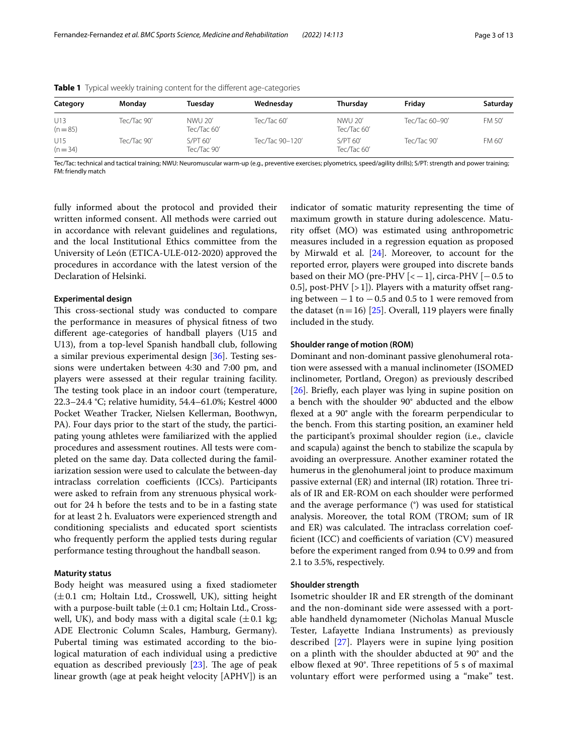| Category          | Monday      | Tuesday                 | Wednesday       | Thursday                | Friday         | Saturday |
|-------------------|-------------|-------------------------|-----------------|-------------------------|----------------|----------|
| U13<br>$(n = 85)$ | Tec/Tac 90' | NWU 20'<br>Tec/Tac 60'  | Tec/Tac $60'$   | NWU 20'<br>Tec/Tac 60'  | Tec/Tac 60-90' | FM 50'   |
| U15<br>$(n = 34)$ | Tec/Tac 90' | S/PT 60'<br>Tec/Tac 90' | Tec/Tac 90-120' | S/PT 60'<br>Tec/Tac 60' | Tec/Tac 90'    | FM 60'   |

<span id="page-2-0"></span>**Table 1** Typical weekly training content for the different age-categories

Tec/Tac: technical and tactical training; NWU: Neuromuscular warm-up (e.g., preventive exercises; plyometrics, speed/agility drills); S/PT: strength and power training; FM: friendly match

fully informed about the protocol and provided their written informed consent. All methods were carried out in accordance with relevant guidelines and regulations, and the local Institutional Ethics committee from the University of León (ETICA-ULE-012-2020) approved the procedures in accordance with the latest version of the Declaration of Helsinki.

#### **Experimental design**

This cross-sectional study was conducted to compare the performance in measures of physical ftness of two diferent age-categories of handball players (U15 and U13), from a top-level Spanish handball club, following a similar previous experimental design  $[36]$  $[36]$ . Testing sessions were undertaken between 4:30 and 7:00 pm, and players were assessed at their regular training facility. The testing took place in an indoor court (temperature, 22.3–24.4 °C; relative humidity, 54.4–61.0%; Kestrel 4000 Pocket Weather Tracker, Nielsen Kellerman, Boothwyn, PA). Four days prior to the start of the study, the participating young athletes were familiarized with the applied procedures and assessment routines. All tests were completed on the same day. Data collected during the familiarization session were used to calculate the between-day intraclass correlation coefficients (ICCs). Participants were asked to refrain from any strenuous physical workout for 24 h before the tests and to be in a fasting state for at least 2 h. Evaluators were experienced strength and conditioning specialists and educated sport scientists who frequently perform the applied tests during regular performance testing throughout the handball season.

#### **Maturity status**

Body height was measured using a fxed stadiometer  $(\pm 0.1 \text{ cm}; \text{Holtain Ltd.}, \text{Crosswell}, \text{UK}), \text{ sitting height}$ with a purpose-built table  $(\pm 0.1 \text{ cm})$ ; Holtain Ltd., Crosswell, UK), and body mass with a digital scale  $(\pm 0.1 \text{ kg})$ ; ADE Electronic Column Scales, Hamburg, Germany). Pubertal timing was estimated according to the biological maturation of each individual using a predictive equation as described previously  $[23]$  $[23]$  $[23]$ . The age of peak linear growth (age at peak height velocity [APHV]) is an indicator of somatic maturity representing the time of maximum growth in stature during adolescence. Maturity offset (MO) was estimated using anthropometric measures included in a regression equation as proposed by Mirwald et al.  $[24]$  $[24]$ . Moreover, to account for the reported error, players were grouped into discrete bands based on their MO (pre-PHV  $\left[<-1\right]$ , circa-PHV  $\left[-0.5\right]$  to 0.5], post-PHV  $[>1]$ ). Players with a maturity offset ranging between  $-1$  to  $-0.5$  and 0.5 to 1 were removed from the dataset (n=16) [[25\]](#page-11-9). Overall, 119 players were finally included in the study.

### **Shoulder range of motion (ROM)**

Dominant and non-dominant passive glenohumeral rotation were assessed with a manual inclinometer (ISOMED inclinometer, Portland, Oregon) as previously described [[26\]](#page-11-10). Briefy, each player was lying in supine position on a bench with the shoulder 90° abducted and the elbow fexed at a 90° angle with the forearm perpendicular to the bench. From this starting position, an examiner held the participant's proximal shoulder region (i.e., clavicle and scapula) against the bench to stabilize the scapula by avoiding an overpressure. Another examiner rotated the humerus in the glenohumeral joint to produce maximum passive external (ER) and internal (IR) rotation. Three trials of IR and ER-ROM on each shoulder were performed and the average performance (°) was used for statistical analysis. Moreover, the total ROM (TROM; sum of IR and ER) was calculated. The intraclass correlation coefficient (ICC) and coefficients of variation  $(CV)$  measured before the experiment ranged from 0.94 to 0.99 and from 2.1 to 3.5%, respectively.

#### **Shoulder strength**

Isometric shoulder IR and ER strength of the dominant and the non-dominant side were assessed with a portable handheld dynamometer (Nicholas Manual Muscle Tester, Lafayette Indiana Instruments) as previously described [[27\]](#page-11-11). Players were in supine lying position on a plinth with the shoulder abducted at 90° and the elbow flexed at 90 $^{\circ}$ . Three repetitions of 5 s of maximal voluntary effort were performed using a "make" test.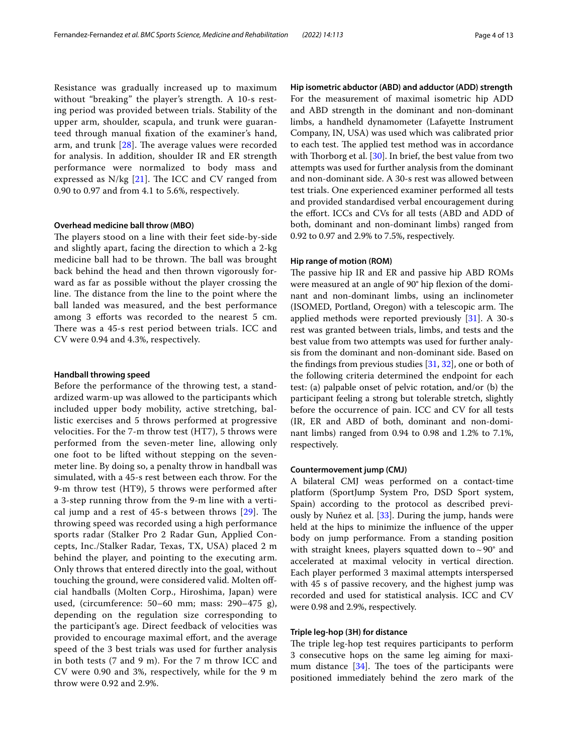Resistance was gradually increased up to maximum without "breaking" the player's strength. A 10-s resting period was provided between trials. Stability of the upper arm, shoulder, scapula, and trunk were guaranteed through manual fxation of the examiner's hand, arm, and trunk  $[28]$  $[28]$ . The average values were recorded for analysis. In addition, shoulder IR and ER strength performance were normalized to body mass and expressed as  $N/kg$  [[21\]](#page-11-4). The ICC and CV ranged from 0.90 to 0.97 and from 4.1 to 5.6%, respectively.

#### **Overhead medicine ball throw (MBO)**

The players stood on a line with their feet side-by-side and slightly apart, facing the direction to which a 2-kg medicine ball had to be thrown. The ball was brought back behind the head and then thrown vigorously forward as far as possible without the player crossing the line. The distance from the line to the point where the ball landed was measured, and the best performance among 3 eforts was recorded to the nearest 5 cm. There was a 45-s rest period between trials. ICC and CV were 0.94 and 4.3%, respectively.

#### **Handball throwing speed**

Before the performance of the throwing test, a standardized warm-up was allowed to the participants which included upper body mobility, active stretching, ballistic exercises and 5 throws performed at progressive velocities. For the 7-m throw test (HT7), 5 throws were performed from the seven-meter line, allowing only one foot to be lifted without stepping on the sevenmeter line. By doing so, a penalty throw in handball was simulated, with a 45-s rest between each throw. For the 9-m throw test (HT9), 5 throws were performed after a 3-step running throw from the 9-m line with a vertical jump and a rest of  $45-s$  between throws  $[29]$  $[29]$ . The throwing speed was recorded using a high performance sports radar (Stalker Pro 2 Radar Gun, Applied Concepts, Inc./Stalker Radar, Texas, TX, USA) placed 2 m behind the player, and pointing to the executing arm. Only throws that entered directly into the goal, without touching the ground, were considered valid. Molten ofcial handballs (Molten Corp., Hiroshima, Japan) were used, (circumference: 50–60 mm; mass: 290–475 g), depending on the regulation size corresponding to the participant's age. Direct feedback of velocities was provided to encourage maximal efort, and the average speed of the 3 best trials was used for further analysis in both tests (7 and 9 m). For the 7 m throw ICC and CV were 0.90 and 3%, respectively, while for the 9 m throw were 0.92 and 2.9%.

**Hip isometric abductor (ABD) and adductor (ADD) strength** For the measurement of maximal isometric hip ADD and ABD strength in the dominant and non-dominant limbs, a handheld dynamometer (Lafayette Instrument Company, IN, USA) was used which was calibrated prior to each test. The applied test method was in accordance with Thorborg et al. [[30\]](#page-11-14). In brief, the best value from two attempts was used for further analysis from the dominant and non-dominant side. A 30-s rest was allowed between test trials. One experienced examiner performed all tests and provided standardised verbal encouragement during the efort. ICCs and CVs for all tests (ABD and ADD of both, dominant and non-dominant limbs) ranged from 0.92 to 0.97 and 2.9% to 7.5%, respectively.

#### **Hip range of motion (ROM)**

The passive hip IR and ER and passive hip ABD ROMs were measured at an angle of 90° hip flexion of the dominant and non-dominant limbs, using an inclinometer (ISOMED, Portland, Oregon) with a telescopic arm. The applied methods were reported previously [\[31\]](#page-11-15). A 30-s rest was granted between trials, limbs, and tests and the best value from two attempts was used for further analysis from the dominant and non-dominant side. Based on the fndings from previous studies [[31,](#page-11-15) [32](#page-11-16)], one or both of the following criteria determined the endpoint for each test: (a) palpable onset of pelvic rotation, and/or (b) the participant feeling a strong but tolerable stretch, slightly before the occurrence of pain. ICC and CV for all tests (IR, ER and ABD of both, dominant and non-dominant limbs) ranged from 0.94 to 0.98 and 1.2% to 7.1%, respectively.

#### **Countermovement jump (CMJ)**

A bilateral CMJ weas performed on a contact-time platform (SportJump System Pro, DSD Sport system, Spain) according to the protocol as described previously by Nuñez et al. [\[33](#page-11-17)]. During the jump, hands were held at the hips to minimize the infuence of the upper body on jump performance. From a standing position with straight knees, players squatted down to  $\sim$  90 $^{\circ}$  and accelerated at maximal velocity in vertical direction. Each player performed 3 maximal attempts interspersed with 45 s of passive recovery, and the highest jump was recorded and used for statistical analysis. ICC and CV were 0.98 and 2.9%, respectively.

#### **Triple leg‑hop (3H) for distance**

The triple leg-hop test requires participants to perform 3 consecutive hops on the same leg aiming for maximum distance  $[34]$  $[34]$ . The toes of the participants were positioned immediately behind the zero mark of the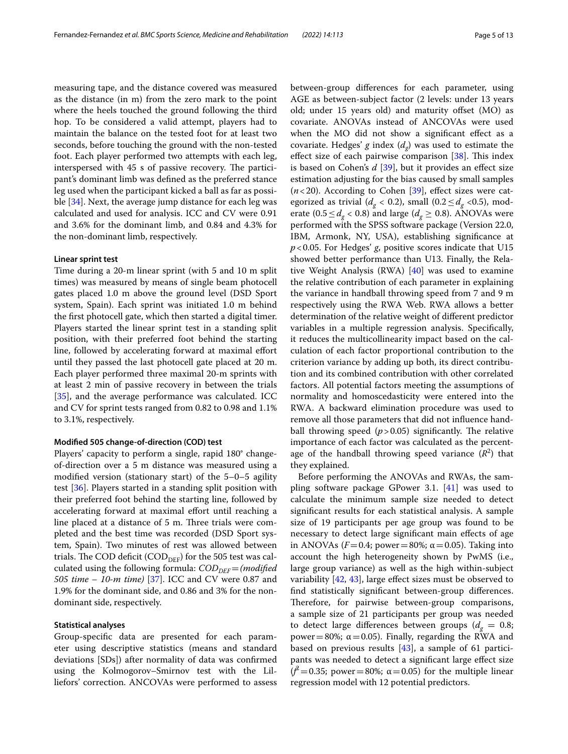measuring tape, and the distance covered was measured as the distance (in m) from the zero mark to the point where the heels touched the ground following the third hop. To be considered a valid attempt, players had to maintain the balance on the tested foot for at least two seconds, before touching the ground with the non-tested foot. Each player performed two attempts with each leg, interspersed with 45 s of passive recovery. The participant's dominant limb was defned as the preferred stance leg used when the participant kicked a ball as far as possible [\[34](#page-11-18)]. Next, the average jump distance for each leg was calculated and used for analysis. ICC and CV were 0.91 and 3.6% for the dominant limb, and 0.84 and 4.3% for the non-dominant limb, respectively.

#### **Linear sprint test**

Time during a 20-m linear sprint (with 5 and 10 m split times) was measured by means of single beam photocell gates placed 1.0 m above the ground level (DSD Sport system, Spain). Each sprint was initiated 1.0 m behind the frst photocell gate, which then started a digital timer. Players started the linear sprint test in a standing split position, with their preferred foot behind the starting line, followed by accelerating forward at maximal efort until they passed the last photocell gate placed at 20 m. Each player performed three maximal 20-m sprints with at least 2 min of passive recovery in between the trials [[35\]](#page-11-19), and the average performance was calculated. ICC and CV for sprint tests ranged from 0.82 to 0.98 and 1.1% to 3.1%, respectively.

#### **Modifed 505 change‑of‑direction (COD) test**

Players' capacity to perform a single, rapid 180° changeof-direction over a 5 m distance was measured using a modifed version (stationary start) of the 5–0–5 agility test [[36](#page-11-6)]. Players started in a standing split position with their preferred foot behind the starting line, followed by accelerating forward at maximal effort until reaching a line placed at a distance of 5 m. Three trials were completed and the best time was recorded (DSD Sport system, Spain). Two minutes of rest was allowed between trials. The COD deficit (COD<sub>DEF</sub>) for the 505 test was calculated using the following formula: *COD*<sub>DEF</sub>=(*modified*) *505 time – 10-m time)* [[37](#page-11-20)]. ICC and CV were 0.87 and 1.9% for the dominant side, and 0.86 and 3% for the nondominant side, respectively.

#### **Statistical analyses**

Group-specifc data are presented for each parameter using descriptive statistics (means and standard deviations [SDs]) after normality of data was confrmed using the Kolmogorov–Smirnov test with the Lilliefors' correction. ANCOVAs were performed to assess between-group diferences for each parameter, using AGE as between-subject factor (2 levels: under 13 years old; under 15 years old) and maturity offset (MO) as covariate. ANOVAs instead of ANCOVAs were used when the MO did not show a signifcant efect as a covariate. Hedges' *g* index  $(d_g)$  was used to estimate the effect size of each pairwise comparison  $[38]$  $[38]$ . This index is based on Cohen's *d* [[39\]](#page-11-22), but it provides an efect size estimation adjusting for the bias caused by small samples  $(n<$  20). According to Cohen [\[39\]](#page-11-22), effect sizes were categorized as trivial ( $d_g < 0.2$ ), small ( $0.2 \le d_g < 0.5$ ), moderate ( $0.5 \le d_{\varphi} < 0.8$ ) and large ( $d_{\varphi} \ge 0.8$ ). ANOVAs were performed with the SPSS software package (Version 22.0, IBM, Armonk, NY, USA), establishing signifcance at *p*<0.05. For Hedges' *g*, positive scores indicate that U15 showed better performance than U13. Finally, the Relative Weight Analysis (RWA) [[40\]](#page-11-23) was used to examine the relative contribution of each parameter in explaining the variance in handball throwing speed from 7 and 9 m respectively using the RWA Web. RWA allows a better determination of the relative weight of diferent predictor variables in a multiple regression analysis. Specifcally, it reduces the multicollinearity impact based on the calculation of each factor proportional contribution to the criterion variance by adding up both, its direct contribution and its combined contribution with other correlated factors. All potential factors meeting the assumptions of normality and homoscedasticity were entered into the RWA. A backward elimination procedure was used to remove all those parameters that did not infuence handball throwing speed  $(p > 0.05)$  significantly. The relative importance of each factor was calculated as the percentage of the handball throwing speed variance  $(R^2)$  that they explained.

Before performing the ANOVAs and RWAs, the sampling software package GPower 3.1. [[41\]](#page-11-24) was used to calculate the minimum sample size needed to detect signifcant results for each statistical analysis. A sample size of 19 participants per age group was found to be necessary to detect large signifcant main efects of age in ANOVAs ( $F=0.4$ ; power = 80%;  $\alpha$  = 0.05). Taking into account the high heterogeneity shown by PwMS (i.e., large group variance) as well as the high within-subject variability  $[42, 43]$  $[42, 43]$  $[42, 43]$  $[42, 43]$ , large effect sizes must be observed to fnd statistically signifcant between-group diferences. Therefore, for pairwise between-group comparisons, a sample size of 21 participants per group was needed to detect large differences between groups  $(d_g = 0.8;$ power = 80%;  $α = 0.05$ ). Finally, regarding the RWA and based on previous results  $[43]$ , a sample of 61 participants was needed to detect a signifcant large efect size  $(f^2=0.35;$  power = 80%;  $\alpha=0.05$ ) for the multiple linear regression model with 12 potential predictors.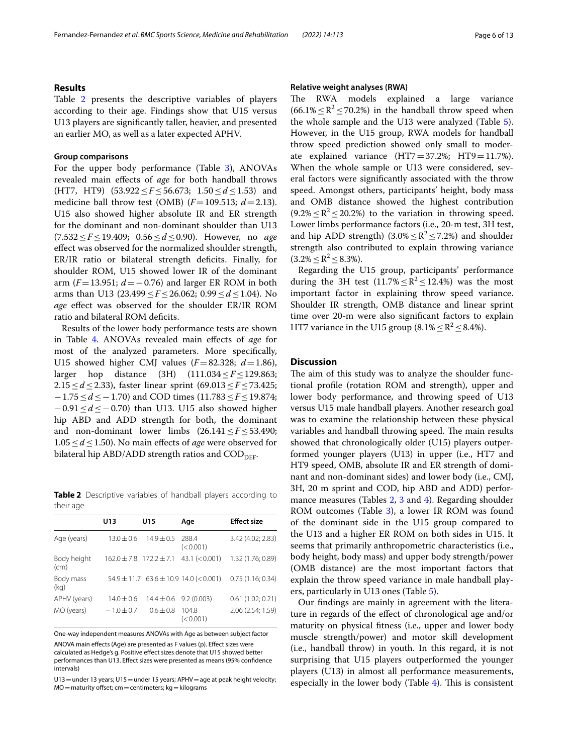## **Results**

Table [2](#page-5-0) presents the descriptive variables of players according to their age. Findings show that U15 versus U13 players are signifcantly taller, heavier, and presented an earlier MO, as well as a later expected APHV.

#### **Group comparisons**

For the upper body performance (Table [3\)](#page-6-0), ANOVAs revealed main efects of *age* for both handball throws (HT7, HT9) (53.922≤*F*≤56.673; 1.50≤*d*≤1.53) and medicine ball throw test (OMB)  $(F=109.513; d=2.13)$ . U15 also showed higher absolute IR and ER strength for the dominant and non-dominant shoulder than U13 (7.532≤*F*≤19.409; 0.56≤*d*≤0.90). However, no *age* efect was observed for the normalized shoulder strength, ER/IR ratio or bilateral strength deficits. Finally, for shoulder ROM, U15 showed lower IR of the dominant arm (*F*=13.951; *d*=−0.76) and larger ER ROM in both arms than U13 (23.499≤*F*≤26.062; 0.99≤*d*≤1.04). No *age* efect was observed for the shoulder ER/IR ROM ratio and bilateral ROM deficits.

Results of the lower body performance tests are shown in Table [4](#page-7-0). ANOVAs revealed main efects of *age* for most of the analyzed parameters. More specifcally, U15 showed higher CMJ values  $(F=82.328; d=1.86)$ , larger hop distance (3H) (111.034≤*F*≤129.863; 2.15≤*d*≤2.33), faster linear sprint (69.013≤*F*≤73.425; −1.75≤*d*≤−1.70) and COD times (11.783≤*F*≤19.874; −0.91≤*d*≤−0.70) than U13. U15 also showed higher hip ABD and ADD strength for both, the dominant and non-dominant lower limbs (26.141≤*F*≤53.490; 1.05≤*d*≤1.50). No main efects of *age* were observed for bilateral hip ABD/ADD strength ratios and  $\text{COD}_{\text{DEF}}$ .

<span id="page-5-0"></span>**Table 2** Descriptive variables of handball players according to their age

|                     | U13            | U15                        | Age                                            | <b>Effect size</b> |
|---------------------|----------------|----------------------------|------------------------------------------------|--------------------|
| Age (years)         | $13.0 + 0.6$   | $14.9 \pm 0.5$             | 288.4<br>(< 0.001)                             | 3.42 (4.02; 2.83)  |
| Body height<br>(cm) |                | 162.0±7.8 172.2±7.1        | 43.1 (< 0.001)                                 | 1.32 (1.76; 0.89)  |
| Body mass<br>(kg)   |                |                            | $54.9 \pm 11.7$ 63.6 $\pm$ 10.9 14.0 (< 0.001) | 0.75(1.16; 0.34)   |
| APHV (years)        | $14.0 \pm 0.6$ | $14.4 \pm 0.6$ 9.2 (0.003) |                                                | 0.61(1.02; 0.21)   |
| MO (years)          | $-1.0 \pm 0.7$ | $0.6 + 0.8$                | 104.8<br>(< 0.001)                             | 2.06 (2.54; 1.59)  |

One-way independent measures ANOVAs with Age as between subject factor ANOVA main effects (Age) are presented as F values (p). Effect sizes were calculated as Hedge's g. Positive efect sizes denote that U15 showed better performances than U13. Effect sizes were presented as means (95% confidence intervals)

 $U13$  = under 13 years;  $U15$  = under 15 years; APHV = age at peak height velocity;  $MO =$  maturity offset; cm = centimeters; kg = kilograms

## **Relative weight analyses (RWA)**

The RWA models explained a large variance  $(66.1\% < R^2 < 70.2\%)$  in the handball throw speed when the whole sample and the U13 were analyzed (Table [5](#page-7-1)). However, in the U15 group, RWA models for handball throw speed prediction showed only small to moderate explained variance  $(HT7=37.2\%; HT9=11.7\%).$ When the whole sample or U13 were considered, several factors were signifcantly associated with the throw speed. Amongst others, participants' height, body mass and OMB distance showed the highest contribution  $(9.2\% \leq R^2 \leq 20.2\%)$  to the variation in throwing speed. Lower limbs performance factors (i.e., 20-m test, 3H test, and hip ADD strength) (3.0%  $\leq$  R<sup>2</sup>  $\leq$  7.2%) and shoulder strength also contributed to explain throwing variance  $(3.2\% \leq R^2 \leq 8.3\%).$ 

Regarding the U15 group, participants' performance during the 3H test  $(11.7\% \leq R^2 \leq 12.4\%)$  was the most important factor in explaining throw speed variance. Shoulder IR strength, OMB distance and linear sprint time over 20-m were also signifcant factors to explain HT7 variance in the U15 group  $(8.1\% \leq R^2 \leq 8.4\%).$ 

## **Discussion**

The aim of this study was to analyze the shoulder functional profle (rotation ROM and strength), upper and lower body performance, and throwing speed of U13 versus U15 male handball players. Another research goal was to examine the relationship between these physical variables and handball throwing speed. The main results showed that chronologically older (U15) players outperformed younger players (U13) in upper (i.e., HT7 and HT9 speed, OMB, absolute IR and ER strength of dominant and non-dominant sides) and lower body (i.e., CMJ, 3H, 20 m sprint and COD, hip ABD and ADD) performance measures (Tables [2,](#page-5-0) [3](#page-6-0) and [4\)](#page-7-0). Regarding shoulder ROM outcomes (Table [3\)](#page-6-0), a lower IR ROM was found of the dominant side in the U15 group compared to the U13 and a higher ER ROM on both sides in U15. It seems that primarily anthropometric characteristics (i.e., body height, body mass) and upper body strength/power (OMB distance) are the most important factors that explain the throw speed variance in male handball players, particularly in U13 ones (Table [5\)](#page-7-1).

Our fndings are mainly in agreement with the literature in regards of the efect of chronological age and/or maturity on physical ftness (i.e., upper and lower body muscle strength/power) and motor skill development (i.e., handball throw) in youth. In this regard, it is not surprising that U15 players outperformed the younger players (U13) in almost all performance measurements, especially in the lower body (Table  $4$ ). This is consistent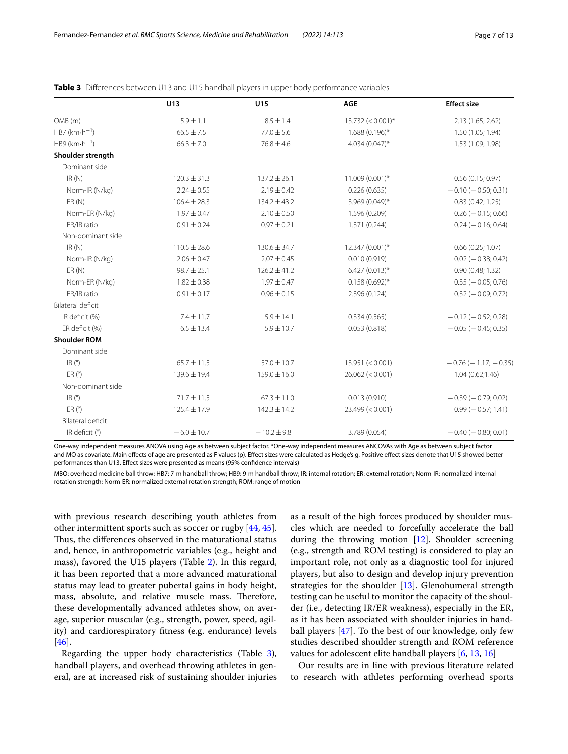|                             | U13              | U15              | <b>AGE</b>              | <b>Effect size</b>        |
|-----------------------------|------------------|------------------|-------------------------|---------------------------|
| OMB (m)                     | $5.9 \pm 1.1$    | $8.5 \pm 1.4$    | $13.732 \ ( < 0.001)^*$ | 2.13 (1.65; 2.62)         |
| $HB7$ (km $\cdot h^{-1}$ )  | $66.5 \pm 7.5$   | $77.0 \pm 5.6$   | 1.688 (0.196)*          | 1.50 (1.05; 1.94)         |
| $H B9$ (km $\cdot h^{-1}$ ) | $66.3 \pm 7.0$   | $76.8 \pm 4.6$   | $4.034(0.047)^{*}$      | 1.53 (1.09; 1.98)         |
| Shoulder strength           |                  |                  |                         |                           |
| Dominant side               |                  |                  |                         |                           |
| IR(N)                       | $120.3 \pm 31.3$ | $137.2 \pm 26.1$ | 11.009 (0.001)*         | 0.56(0.15; 0.97)          |
| Norm-IR (N/kg)              | $2.24 \pm 0.55$  | $2.19 \pm 0.42$  | 0.226(0.635)            | $-0.10 (-0.50; 0.31)$     |
| ER(N)                       | $106.4 \pm 28.3$ | $134.2 \pm 43.2$ | 3.969 (0.049)*          | 0.83(0.42; 1.25)          |
| Norm-ER (N/kg)              | $1.97 \pm 0.47$  | $2.10 \pm 0.50$  | 1.596 (0.209)           | $0.26 (-0.15; 0.66)$      |
| ER/IR ratio                 | $0.91 \pm 0.24$  | $0.97 \pm 0.21$  | 1.371 (0.244)           | $0.24 (-0.16; 0.64)$      |
| Non-dominant side           |                  |                  |                         |                           |
| IR(N)                       | $110.5 \pm 28.6$ | $130.6 \pm 34.7$ | 12.347 (0.001)*         | 0.66(0.25; 1.07)          |
| Norm-IR (N/kg)              | $2.06 \pm 0.47$  | $2.07 \pm 0.45$  | 0.010(0.919)            | $0.02 (-0.38; 0.42)$      |
| ER(N)                       | $98.7 \pm 25.1$  | $126.2 \pm 41.2$ | $6.427(0.013)*$         | 0.90(0.48; 1.32)          |
| Norm-ER (N/kg)              | $1.82 \pm 0.38$  | $1.97 \pm 0.47$  | $0.158(0.692)$ *        | $0.35 (-0.05; 0.76)$      |
| ER/IR ratio                 | $0.91 \pm 0.17$  | $0.96 \pm 0.15$  | 2.396 (0.124)           | $0.32 (-0.09; 0.72)$      |
| <b>Bilateral deficit</b>    |                  |                  |                         |                           |
| IR deficit (%)              | $7.4 \pm 11.7$   | $5.9 \pm 14.1$   | 0.334(0.565)            | $-0.12$ ( $-0.52$ ; 0.28) |
| ER deficit (%)              | $6.5 \pm 13.4$   | $5.9 \pm 10.7$   | 0.053(0.818)            | $-0.05$ ( $-0.45$ ; 0.35) |
| <b>Shoulder ROM</b>         |                  |                  |                         |                           |
| Dominant side               |                  |                  |                         |                           |
| IR <sup>°</sup>             | $65.7 \pm 11.5$  | $57.0 \pm 10.7$  | 13.951 (< 0.001)        | $-0.76(-1.17; -0.35)$     |
| ER (°)                      | 139.6 ± 19.4     | $159.0 \pm 16.0$ | 26.062 (< 0.001)        | 1.04(0.62;1.46)           |
| Non-dominant side           |                  |                  |                         |                           |
| IR <sup>o</sup>             | 71.7±11.5        | $67.3 \pm 11.0$  | 0.013(0.910)            | $-0.39(-0.79;0.02)$       |
| ER (°)                      | 125.4 ± 17.9     | $142.3 \pm 14.2$ | 23.499 (< 0.001)        | $0.99 (-0.57; 1.41)$      |
| Bilateral deficit           |                  |                  |                         |                           |
| IR deficit (°)              | $-6.0 \pm 10.7$  | $-10.2 \pm 9.8$  | 3.789 (0.054)           | $-0.40$ ( $-0.80$ ; 0.01) |

<span id="page-6-0"></span>

One-way independent measures ANOVA using Age as between subject factor. \*One-way independent measures ANCOVAs with Age as between subject factor and MO as covariate. Main efects of age are presented as F values (p). Efect sizes were calculated as Hedge's g. Positive efect sizes denote that U15 showed better performances than U13. Efect sizes were presented as means (95% confdence intervals)

MBO: overhead medicine ball throw; HB7: 7-m handball throw; HB9: 9-m handball throw; IR: internal rotation; ER: external rotation; Norm-IR: normalized internal rotation strength; Norm-ER: normalized external rotation strength; ROM: range of motion

with previous research describing youth athletes from other intermittent sports such as soccer or rugby [[44,](#page-11-27) [45](#page-11-28)]. Thus, the differences observed in the maturational status and, hence, in anthropometric variables (e.g., height and mass), favored the U15 players (Table [2\)](#page-5-0). In this regard, it has been reported that a more advanced maturational status may lead to greater pubertal gains in body height, mass, absolute, and relative muscle mass. Therefore, these developmentally advanced athletes show, on average, superior muscular (e.g., strength, power, speed, agility) and cardiorespiratory ftness (e.g. endurance) levels [[46\]](#page-11-29).

Regarding the upper body characteristics (Table [3](#page-6-0)), handball players, and overhead throwing athletes in general, are at increased risk of sustaining shoulder injuries as a result of the high forces produced by shoulder muscles which are needed to forcefully accelerate the ball during the throwing motion [\[12](#page-10-11)]. Shoulder screening (e.g., strength and ROM testing) is considered to play an important role, not only as a diagnostic tool for injured players, but also to design and develop injury prevention strategies for the shoulder [[13](#page-10-12)]. Glenohumeral strength testing can be useful to monitor the capacity of the shoulder (i.e., detecting IR/ER weakness), especially in the ER, as it has been associated with shoulder injuries in handball players [[47](#page-11-30)]. To the best of our knowledge, only few studies described shoulder strength and ROM reference values for adolescent elite handball players [\[6](#page-10-5), [13,](#page-10-12) [16](#page-10-15)]

Our results are in line with previous literature related to research with athletes performing overhead sports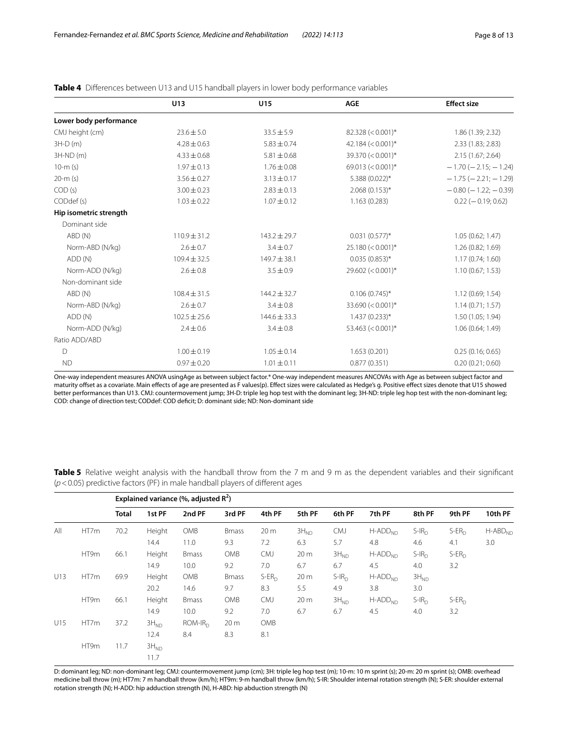|                        | U13              | U15              | <b>AGE</b>                        | <b>Effect size</b>            |
|------------------------|------------------|------------------|-----------------------------------|-------------------------------|
| Lower body performance |                  |                  |                                   |                               |
| CMJ height (cm)        | $23.6 \pm 5.0$   | $33.5 \pm 5.9$   | $82.328 \left( < 0.001 \right)^*$ | 1.86 (1.39; 2.32)             |
| $3H-D(m)$              | $4.28 \pm 0.63$  | $5.83 \pm 0.74$  | 42.184 $(< 0.001$ <sup>*</sup>    | 2.33 (1.83; 2.83)             |
| $3H-ND(m)$             | $4.33 \pm 0.68$  | $5.81 \pm 0.68$  | $39.370 \, (< 0.001)^*$           | 2.15 (1.67; 2.64)             |
| $10-m(s)$              | $1.97 \pm 0.13$  | $1.76 \pm 0.08$  | 69.013 ( $<$ 0.001)*              | $-1.70$ ( $-2.15$ ; $-1.24$ ) |
| $20-m(s)$              | $3.56 \pm 0.27$  | $3.13 \pm 0.17$  | 5.388 (0.022)*                    | $-1.75$ ( $-2.21$ ; $-1.29$ ) |
| COD(s)                 | $3.00 \pm 0.23$  | $2.83 \pm 0.13$  | $2.068(0.153)$ *                  | $-0.80$ ( $-1.22$ ; $-0.39$ ) |
| CODdef (s)             | $1.03 \pm 0.22$  | $1.07 \pm 0.12$  | 1.163(0.283)                      | $0.22 (-0.19; 0.62)$          |
| Hip isometric strength |                  |                  |                                   |                               |
| Dominant side          |                  |                  |                                   |                               |
| ABD (N)                | $110.9 \pm 31.2$ | $143.2 \pm 29.7$ | $0.031(0.577)*$                   | 1.05(0.62; 1.47)              |
| Norm-ABD (N/kg)        | $2.6 \pm 0.7$    | $3.4 \pm 0.7$    | $25.180 \, (< 0.001)^*$           | 1.26(0.82; 1.69)              |
| ADD (N)                | $109.4 \pm 32.5$ | $149.7 \pm 38.1$ | $0.035(0.853)$ *                  | 1.17(0.74; 1.60)              |
| Norm-ADD (N/kg)        | $2.6 \pm 0.8$    | $3.5 \pm 0.9$    | $29.602 (< 0.001)*$               | 1.10(0.67; 1.53)              |
| Non-dominant side      |                  |                  |                                   |                               |
| ABD (N)                | $108.4 \pm 31.5$ | $144.2 \pm 32.7$ | $0.106(0.745)$ *                  | 1.12 (0.69; 1.54)             |
| Norm-ABD (N/kg)        | $2.6 + 0.7$      | $3.4 + 0.8$      | 33.690 ( $<$ 0.001)*              | 1.14(0.71; 1.57)              |
| ADD (N)                | $102.5 \pm 25.6$ | $144.6 \pm 33.3$ | $1.437(0.233)*$                   | 1.50 (1.05; 1.94)             |
| Norm-ADD (N/kg)        | $2.4 \pm 0.6$    | $3.4 \pm 0.8$    | $53.463 (< 0.001)*$               | 1.06 (0.64; 1.49)             |
| Ratio ADD/ABD          |                  |                  |                                   |                               |
| D                      | $1.00 \pm 0.19$  | $1.05 \pm 0.14$  | 1.653(0.201)                      | 0.25(0.16; 0.65)              |
| <b>ND</b>              | $0.97 \pm 0.20$  | $1.01 \pm 0.11$  | 0.877(0.351)                      | 0.20(0.21; 0.60)              |

<span id="page-7-0"></span>**Table 4** Diferences between U13 and U15 handball players in lower body performance variables

One-way independent measures ANOVA usingAge as between subject factor.\* One-way independent measures ANCOVAs with Age as between subject factor and maturity ofset as a covariate. Main efects of age are presented as F values(p). Efect sizes were calculated as Hedge's g. Positive efect sizes denote that U15 showed better performances than U13. CMJ: countermovement jump; 3H-D: triple leg hop test with the dominant leg; 3H-ND: triple leg hop test with the non-dominant leg; COD: change of direction test; CODdef: COD defcit; D: dominant side; ND: Non-dominant side

Explained variance (%, adjusted R<sup>2</sup>) **Total 1st PF 2nd PF 3rd PF 4th PF 5th PF 6th PF 7th PF 8th PF 9th PF 10th PF** All HT7m 70.2 Height OMB Bmass 20 m 3H<sub>ND</sub> CMJ H-ADD<sub>ND</sub> S-IR<sub>D</sub> S-ER<sub>D</sub> H-ABD<sub>NC</sub> 14.4 11.0 9.3 7.2 6.3 5.7 4.8 4.6 4.1 3.0 HT9m 66.1 Height Bmass OMB CMJ 20 $\,$ m 3H $_{\rm ND}$  H-ADD $_{\rm ND}$  S-IR $_{\rm D}$  S-ER $_{\rm D}$ 14.9 10.0 9.2 7.0 6.7 6.7 4.5 4.0 3.2 U13 HT7m 69.9 Height OMB Bmass S-ER<sub>D</sub> 20 m S-IR<sub>D</sub> H-ADD<sub>ND</sub> 3H<sub>ND</sub> 20.2 14.6 9.7 8.3 5.5 4.9 3.8 3.0 HT9m 66.1 Height Bmass OMB CMJ 20 m 3H<sub>ND</sub> H-ADD<sub>ND</sub> S-IR<sub>D</sub> S-ER<sub>D</sub> 14.9 10.0 9.2 7.0 6.7 6.7 4.5 4.0 3.2 U15 HT7m 37.2  $3H_{ND}$  ROM-IR<sub>D</sub> 20 m OMB 12.4 8.4 8.3 8.1  $HT9m$  11.7  $3H_{ND}$ 11.7

<span id="page-7-1"></span>**Table 5** Relative weight analysis with the handball throw from the 7 m and 9 m as the dependent variables and their significant (*p*<0.05) predictive factors (PF) in male handball players of diferent ages

D: dominant leg; ND: non-dominant leg; CMJ: countermovement jump (cm); 3H: triple leg hop test (m); 10-m: 10 m sprint (s); 20-m: 20 m sprint (s); OMB: overhead medicine ball throw (m); HT7m: 7 m handball throw (km/h); HT9m: 9-m handball throw (km/h); S-IR: Shoulder internal rotation strength (N); S-ER: shoulder external rotation strength (N); H-ADD: hip adduction strength (N), H-ABD: hip abduction strength (N)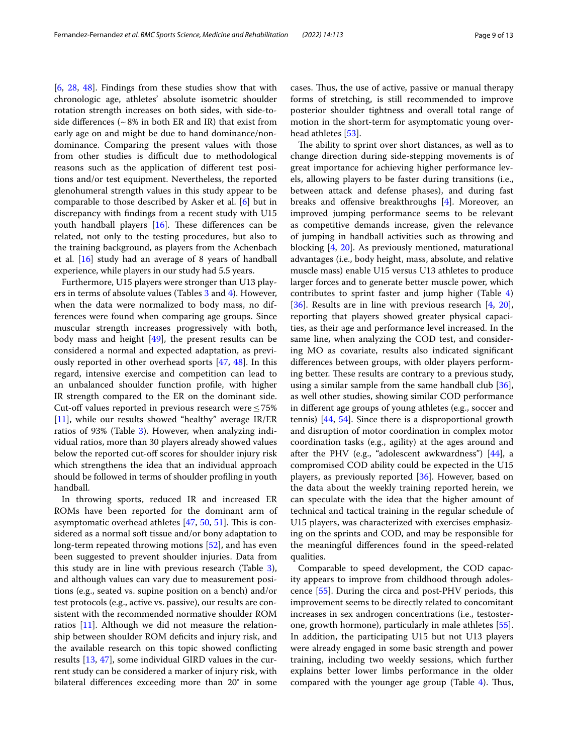[[6,](#page-10-5) [28,](#page-11-12) [48\]](#page-11-31). Findings from these studies show that with chronologic age, athletes' absolute isometric shoulder rotation strength increases on both sides, with side-toside differences ( $\sim$  8% in both ER and IR) that exist from early age on and might be due to hand dominance/nondominance. Comparing the present values with those from other studies is difficult due to methodological reasons such as the application of diferent test positions and/or test equipment. Nevertheless, the reported glenohumeral strength values in this study appear to be comparable to those described by Asker et al. [\[6](#page-10-5)] but in discrepancy with fndings from a recent study with U15 youth handball players  $[16]$  $[16]$ . These differences can be related, not only to the testing procedures, but also to the training background, as players from the Achenbach et al. [\[16\]](#page-10-15) study had an average of 8 years of handball experience, while players in our study had 5.5 years.

Furthermore, U15 players were stronger than U13 players in terms of absolute values (Tables [3](#page-6-0) and [4](#page-7-0)). However, when the data were normalized to body mass, no differences were found when comparing age groups. Since muscular strength increases progressively with both, body mass and height  $[49]$  $[49]$ , the present results can be considered a normal and expected adaptation, as previously reported in other overhead sports [[47](#page-11-30), [48\]](#page-11-31). In this regard, intensive exercise and competition can lead to an unbalanced shoulder function profle, with higher IR strength compared to the ER on the dominant side. Cut-off values reported in previous research were  $\leq 75\%$ [[11\]](#page-10-10), while our results showed "healthy" average IR/ER ratios of 9[3](#page-6-0)% (Table 3). However, when analyzing individual ratios, more than 30 players already showed values below the reported cut-off scores for shoulder injury risk which strengthens the idea that an individual approach should be followed in terms of shoulder profling in youth handball.

In throwing sports, reduced IR and increased ER ROMs have been reported for the dominant arm of asymptomatic overhead athletes  $[47, 50, 51]$  $[47, 50, 51]$  $[47, 50, 51]$  $[47, 50, 51]$  $[47, 50, 51]$  $[47, 50, 51]$  $[47, 50, 51]$ . This is considered as a normal soft tissue and/or bony adaptation to long-term repeated throwing motions [[52\]](#page-11-35), and has even been suggested to prevent shoulder injuries. Data from this study are in line with previous research (Table [3](#page-6-0)), and although values can vary due to measurement positions (e.g., seated vs. supine position on a bench) and/or test protocols (e.g., active vs. passive), our results are consistent with the recommended normative shoulder ROM ratios [[11\]](#page-10-10). Although we did not measure the relationship between shoulder ROM defcits and injury risk, and the available research on this topic showed conficting results [[13,](#page-10-12) [47\]](#page-11-30), some individual GIRD values in the current study can be considered a marker of injury risk, with bilateral diferences exceeding more than 20° in some

cases. Thus, the use of active, passive or manual therapy forms of stretching, is still recommended to improve posterior shoulder tightness and overall total range of motion in the short-term for asymptomatic young over-head athletes [[53\]](#page-12-0).

The ability to sprint over short distances, as well as to change direction during side-stepping movements is of great importance for achieving higher performance levels, allowing players to be faster during transitions (i.e., between attack and defense phases), and during fast breaks and offensive breakthroughs [\[4\]](#page-10-3). Moreover, an improved jumping performance seems to be relevant as competitive demands increase, given the relevance of jumping in handball activities such as throwing and blocking [\[4](#page-10-3), [20\]](#page-11-3). As previously mentioned, maturational advantages (i.e., body height, mass, absolute, and relative muscle mass) enable U15 versus U13 athletes to produce larger forces and to generate better muscle power, which contributes to sprint faster and jump higher (Table [4](#page-7-0)) [[36\]](#page-11-6). Results are in line with previous research [\[4](#page-10-3), [20](#page-11-3)], reporting that players showed greater physical capacities, as their age and performance level increased. In the same line, when analyzing the COD test, and considering MO as covariate, results also indicated signifcant diferences between groups, with older players performing better. These results are contrary to a previous study, using a similar sample from the same handball club [\[36](#page-11-6)], as well other studies, showing similar COD performance in diferent age groups of young athletes (e.g., soccer and tennis) [[44](#page-11-27), [54](#page-12-1)]. Since there is a disproportional growth and disruption of motor coordination in complex motor coordination tasks (e.g., agility) at the ages around and after the PHV (e.g., "adolescent awkwardness") [\[44](#page-11-27)], a compromised COD ability could be expected in the U15 players, as previously reported [[36\]](#page-11-6). However, based on the data about the weekly training reported herein, we can speculate with the idea that the higher amount of technical and tactical training in the regular schedule of U15 players, was characterized with exercises emphasizing on the sprints and COD, and may be responsible for the meaningful diferences found in the speed-related qualities.

Comparable to speed development, the COD capacity appears to improve from childhood through adolescence [\[55](#page-12-2)]. During the circa and post-PHV periods, this improvement seems to be directly related to concomitant increases in sex androgen concentrations (i.e., testosterone, growth hormone), particularly in male athletes [\[55](#page-12-2)]. In addition, the participating U15 but not U13 players were already engaged in some basic strength and power training, including two weekly sessions, which further explains better lower limbs performance in the older compared with the younger age group (Table  $4$ ). Thus,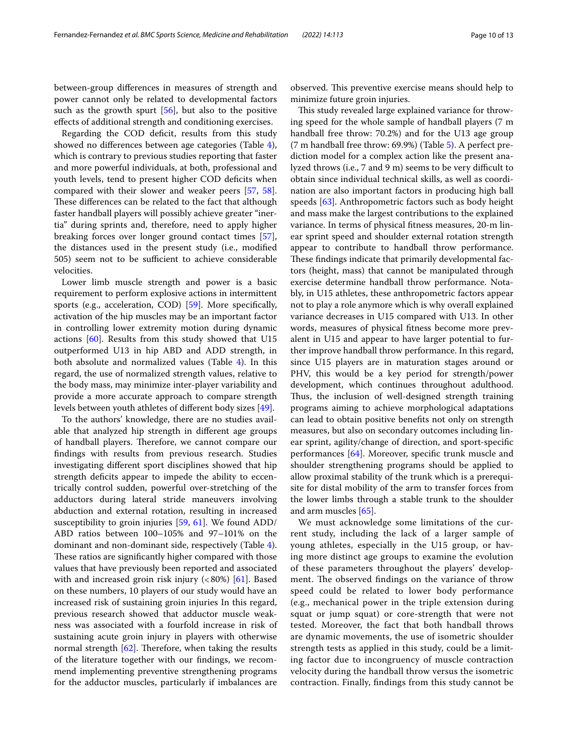between-group diferences in measures of strength and power cannot only be related to developmental factors such as the growth spurt [[56](#page-12-3)], but also to the positive efects of additional strength and conditioning exercises.

Regarding the COD deficit, results from this study showed no diferences between age categories (Table [4](#page-7-0)), which is contrary to previous studies reporting that faster and more powerful individuals, at both, professional and youth levels, tend to present higher COD deficits when compared with their slower and weaker peers [\[57](#page-12-4), [58](#page-12-5)]. These differences can be related to the fact that although faster handball players will possibly achieve greater "inertia" during sprints and, therefore, need to apply higher breaking forces over longer ground contact times [\[57](#page-12-4)], the distances used in the present study (i.e., modifed 505) seem not to be sufficient to achieve considerable velocities.

Lower limb muscle strength and power is a basic requirement to perform explosive actions in intermittent sports (e.g., acceleration, COD) [[59\]](#page-12-6). More specifcally, activation of the hip muscles may be an important factor in controlling lower extremity motion during dynamic actions [[60](#page-12-7)]. Results from this study showed that U15 outperformed U13 in hip ABD and ADD strength, in both absolute and normalized values (Table [4\)](#page-7-0). In this regard, the use of normalized strength values, relative to the body mass, may minimize inter-player variability and provide a more accurate approach to compare strength levels between youth athletes of diferent body sizes [[49\]](#page-11-32).

To the authors' knowledge, there are no studies available that analyzed hip strength in diferent age groups of handball players. Therefore, we cannot compare our fndings with results from previous research. Studies investigating diferent sport disciplines showed that hip strength deficits appear to impede the ability to eccentrically control sudden, powerful over-stretching of the adductors during lateral stride maneuvers involving abduction and external rotation, resulting in increased susceptibility to groin injuries [\[59](#page-12-6), [61\]](#page-12-8). We found ADD/ ABD ratios between 100–105% and 97–101% on the dominant and non-dominant side, respectively (Table [4](#page-7-0)). These ratios are significantly higher compared with those values that have previously been reported and associated with and increased groin risk injury  $\left( < 80\% \right)$  [\[61](#page-12-8)]. Based on these numbers, 10 players of our study would have an increased risk of sustaining groin injuries In this regard, previous research showed that adductor muscle weakness was associated with a fourfold increase in risk of sustaining acute groin injury in players with otherwise normal strength  $[62]$  $[62]$ . Therefore, when taking the results of the literature together with our fndings, we recommend implementing preventive strengthening programs for the adductor muscles, particularly if imbalances are

observed. This preventive exercise means should help to minimize future groin injuries.

This study revealed large explained variance for throwing speed for the whole sample of handball players (7 m handball free throw: 70.2%) and for the U13 age group (7 m handball free throw: 69.9%) (Table [5](#page-7-1)). A perfect prediction model for a complex action like the present analyzed throws (i.e., 7 and 9 m) seems to be very difficult to obtain since individual technical skills, as well as coordination are also important factors in producing high ball speeds [\[63](#page-12-10)]. Anthropometric factors such as body height and mass make the largest contributions to the explained variance. In terms of physical ftness measures, 20-m linear sprint speed and shoulder external rotation strength appear to contribute to handball throw performance. These findings indicate that primarily developmental factors (height, mass) that cannot be manipulated through exercise determine handball throw performance. Notably, in U15 athletes, these anthropometric factors appear not to play a role anymore which is why overall explained variance decreases in U15 compared with U13. In other words, measures of physical ftness become more prevalent in U15 and appear to have larger potential to further improve handball throw performance. In this regard, since U15 players are in maturation stages around or PHV, this would be a key period for strength/power development, which continues throughout adulthood. Thus, the inclusion of well-designed strength training programs aiming to achieve morphological adaptations can lead to obtain positive benefts not only on strength measures, but also on secondary outcomes including linear sprint, agility/change of direction, and sport-specifc performances [[64](#page-12-11)]. Moreover, specifc trunk muscle and shoulder strengthening programs should be applied to allow proximal stability of the trunk which is a prerequisite for distal mobility of the arm to transfer forces from the lower limbs through a stable trunk to the shoulder and arm muscles [\[65](#page-12-12)].

We must acknowledge some limitations of the current study, including the lack of a larger sample of young athletes, especially in the U15 group, or having more distinct age groups to examine the evolution of these parameters throughout the players' development. The observed findings on the variance of throw speed could be related to lower body performance (e.g., mechanical power in the triple extension during squat or jump squat) or core-strength that were not tested. Moreover, the fact that both handball throws are dynamic movements, the use of isometric shoulder strength tests as applied in this study, could be a limiting factor due to incongruency of muscle contraction velocity during the handball throw versus the isometric contraction. Finally, fndings from this study cannot be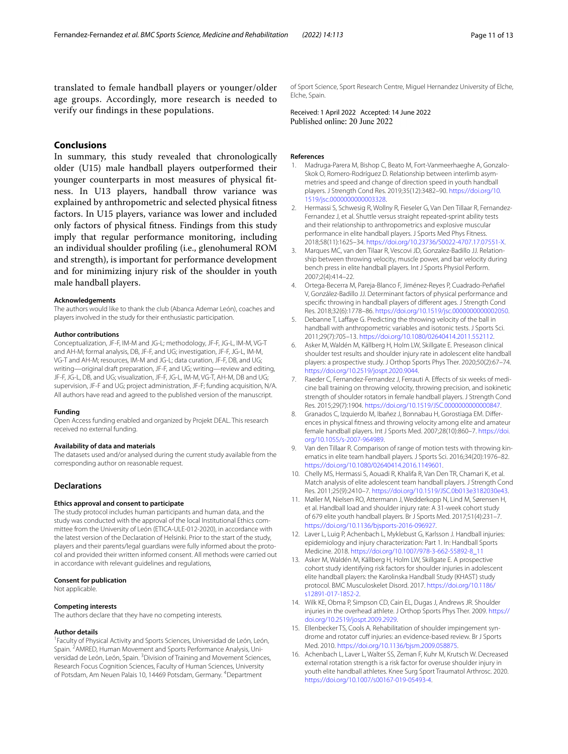translated to female handball players or younger/older age groups. Accordingly, more research is needed to verify our fndings in these populations.

## **Conclusions**

In summary, this study revealed that chronologically older (U15) male handball players outperformed their younger counterparts in most measures of physical ftness. In U13 players, handball throw variance was explained by anthropometric and selected physical ftness factors. In U15 players, variance was lower and included only factors of physical ftness. Findings from this study imply that regular performance monitoring, including an individual shoulder profling (i.e., glenohumeral ROM and strength), is important for performance development and for minimizing injury risk of the shoulder in youth male handball players.

#### **Acknowledgements**

The authors would like to thank the club (Abanca Ademar León), coaches and players involved in the study for their enthusiastic participation.

#### **Author contributions**

Conceptualization, JF-F, IM-M and JG-L; methodology, JF-F, JG-L, IM-M, VG-T and AH-M; formal analysis, DB, JF-F, and UG; investigation, JF-F, JG-L, IM-M, VG-T and AH-M; resources, IM-M and JG-L; data curation, JF-F, DB, and UG; writing—original draft preparation, JF-F, and UG; writing—review and editing, JF-F, JG-L, DB, and UG; visualization, JF-F, JG-L, IM-M, VG-T, AH-M, DB and UG; supervision, JF-F and UG; project administration, JF-F; funding acquisition, N/A. All authors have read and agreed to the published version of the manuscript.

#### **Funding**

Open Access funding enabled and organized by Projekt DEAL. This research received no external funding.

#### **Availability of data and materials**

The datasets used and/or analysed during the current study available from the corresponding author on reasonable request.

#### **Declarations**

#### **Ethics approval and consent to participate**

The study protocol includes human participants and human data, and the study was conducted with the approval of the local Institutional Ethics committee from the University of León (ETICA-ULE-012-2020), in accordance with the latest version of the Declaration of Helsinki. Prior to the start of the study, players and their parents/legal guardians were fully informed about the protocol and provided their written informed consent. All methods were carried out in accordance with relevant guidelines and regulations,

#### **Consent for publication**

Not applicable.

#### **Competing interests**

The authors declare that they have no competing interests.

#### **Author details**

<sup>1</sup> Faculty of Physical Activity and Sports Sciences, Universidad de León, León, Spain. <sup>2</sup> AMRED, Human Movement and Sports Performance Analysis, Universidad de León, León, Spain. <sup>3</sup> Division of Training and Movement Sciences, Research Focus Cognition Sciences, Faculty of Human Sciences, University of Potsdam, Am Neuen Palais 10, 14469 Potsdam, Germany. <sup>4</sup>Department

of Sport Science, Sport Research Centre, Miguel Hernandez University of Elche, Elche, Spain.

Received: 1 April 2022 Accepted: 14 June 2022<br>Published online: 20 June 2022

#### **References**

- <span id="page-10-0"></span>Madruga-Parera M, Bishop C, Beato M, Fort-Vanmeerhaeghe A, Gonzalo-Skok O, Romero-Rodríguez D. Relationship between interlimb asymmetries and speed and change of direction speed in youth handball players. J Strength Cond Res. 2019;35(12):3482–90. [https://doi.org/10.](https://doi.org/10.1519/jsc.0000000000003328) [1519/jsc.0000000000003328.](https://doi.org/10.1519/jsc.0000000000003328)
- <span id="page-10-1"></span>2. Hermassi S, Schwesig R, Wollny R, Fieseler G, Van Den Tillaar R, Fernandez-Fernandez J, et al. Shuttle versus straight repeated-sprint ability tests and their relationship to anthropometrics and explosive muscular performance in elite handball players. J Sports Med Phys Fitness. 2018;58(11):1625–34.<https://doi.org/10.23736/S0022-4707.17.07551-X>.
- <span id="page-10-2"></span>3. Marques MC, van den Tilaar R, Vescovi JD, Gonzalez-Badillo JJ. Relationship between throwing velocity, muscle power, and bar velocity during bench press in elite handball players. Int J Sports Physiol Perform. 2007;2(4):414–22.
- <span id="page-10-3"></span>4. Ortega-Becerra M, Pareja-Blanco F, Jiménez-Reyes P, Cuadrado-Peñafel V, González-Badillo JJ. Determinant factors of physical performance and specifc throwing in handball players of diferent ages. J Strength Cond Res. 2018;32(6):1778–86. <https://doi.org/10.1519/jsc.0000000000002050>.
- <span id="page-10-4"></span>5. Debanne T, Lafaye G. Predicting the throwing velocity of the ball in handball with anthropometric variables and isotonic tests. J Sports Sci. 2011;29(7):705–13. <https://doi.org/10.1080/02640414.2011.552112>.
- <span id="page-10-5"></span>6. Asker M, Waldén M, Källberg H, Holm LW, Skillgate E. Preseason clinical shoulder test results and shoulder injury rate in adolescent elite handball players: a prospective study. J Orthop Sports Phys Ther. 2020;50(2):67–74. <https://doi.org/10.2519/jospt.2020.9044>.
- <span id="page-10-6"></span>7. Raeder C, Fernandez-Fernandez J, Ferrauti A. Effects of six weeks of medicine ball training on throwing velocity, throwing precision, and isokinetic strength of shoulder rotators in female handball players. J Strength Cond Res. 2015;29(7):1904. [https://doi.org/10.1519/JSC.0000000000000847.](https://doi.org/10.1519/JSC.0000000000000847)
- <span id="page-10-7"></span>8. Granados C, Izquierdo M, Ibañez J, Bonnabau H, Gorostiaga EM. Differences in physical ftness and throwing velocity among elite and amateur female handball players. Int J Sports Med. 2007;28(10):860–7. [https://doi.](https://doi.org/10.1055/s-2007-964989) [org/10.1055/s-2007-964989](https://doi.org/10.1055/s-2007-964989).
- <span id="page-10-8"></span>9. Van den Tillaar R. Comparison of range of motion tests with throwing kinematics in elite team handball players. J Sports Sci. 2016;34(20):1976–82. [https://doi.org/10.1080/02640414.2016.1149601.](https://doi.org/10.1080/02640414.2016.1149601)
- <span id="page-10-9"></span>10. Chelly MS, Hermassi S, Aouadi R, Khalifa R, Van Den TR, Chamari K, et al. Match analysis of elite adolescent team handball players. J Strength Cond Res. 2011;25(9):2410–7. [https://doi.org/10.1519/JSC.0b013e3182030e43.](https://doi.org/10.1519/JSC.0b013e3182030e43)
- <span id="page-10-10"></span>11. Møller M, Nielsen RO, Attermann J, Wedderkopp N, Lind M, Sørensen H, et al. Handball load and shoulder injury rate: A 31-week cohort study of 679 elite youth handball players. Br J Sports Med. 2017;51(4):231–7. [https://doi.org/10.1136/bjsports-2016-096927.](https://doi.org/10.1136/bjsports-2016-096927)
- <span id="page-10-11"></span>12. Laver L, Luig P, Achenbach L, Myklebust G, Karlsson J. Handball injuries: epidemiology and injury characterization: Part 1. In: Handball Sports Medicine. 2018. [https://doi.org/10.1007/978-3-662-55892-8\\_11](https://doi.org/10.1007/978-3-662-55892-8_11)
- <span id="page-10-12"></span>13. Asker M, Waldén M, Källberg H, Holm LW, Skillgate E. A prospective cohort study identifying risk factors for shoulder injuries in adolescent elite handball players: the Karolinska Handball Study (KHAST) study protocol. BMC Musculoskelet Disord. 2017. [https://doi.org/10.1186/](https://doi.org/10.1186/s12891-017-1852-2) [s12891-017-1852-2.](https://doi.org/10.1186/s12891-017-1852-2)
- <span id="page-10-13"></span>14. Wilk KE, Obma P, Simpson CD, Cain EL, Dugas J, Andrews JR. Shoulder injuries in the overhead athlete. J Orthop Sports Phys Ther. 2009. [https://](https://doi.org/10.2519/jospt.2009.2929) [doi.org/10.2519/jospt.2009.2929](https://doi.org/10.2519/jospt.2009.2929).
- <span id="page-10-14"></span>15. Ellenbecker TS, Cools A. Rehabilitation of shoulder impingement syndrome and rotator cuff injuries: an evidence-based review. Br J Sports Med. 2010. [https://doi.org/10.1136/bjsm.2009.058875.](https://doi.org/10.1136/bjsm.2009.058875)
- <span id="page-10-15"></span>16. Achenbach L, Laver L, Walter SS, Zeman F, Kuhr M, Krutsch W. Decreased external rotation strength is a risk factor for overuse shoulder injury in youth elite handball athletes. Knee Surg Sport Traumatol Arthrosc. 2020. <https://doi.org/10.1007/s00167-019-05493-4>.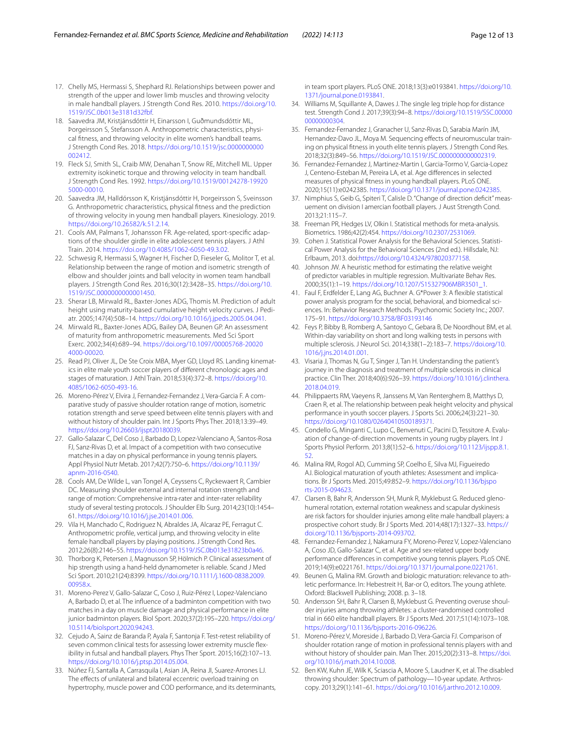- <span id="page-11-0"></span>17. Chelly MS, Hermassi S, Shephard RJ. Relationships between power and strength of the upper and lower limb muscles and throwing velocity in male handball players. J Strength Cond Res. 2010. [https://doi.org/10.](https://doi.org/10.1519/JSC.0b013e3181d32fbf) [1519/JSC.0b013e3181d32fbf.](https://doi.org/10.1519/JSC.0b013e3181d32fbf)
- <span id="page-11-1"></span>18. Saavedra JM, Kristjánsdóttir H, Einarsson I, Guðmundsdóttir ML, Porgeirsson S, Stefansson A. Anthropometric characteristics, physical ftness, and throwing velocity in elite women's handball teams. J Strength Cond Res. 2018. [https://doi.org/10.1519/jsc.0000000000](https://doi.org/10.1519/jsc.0000000000002412) [002412](https://doi.org/10.1519/jsc.0000000000002412).
- <span id="page-11-2"></span>19. Fleck SJ, Smith SL, Craib MW, Denahan T, Snow RE, Mitchell ML. Upper extremity isokinetic torque and throwing velocity in team handball. J Strength Cond Res. 1992. [https://doi.org/10.1519/00124278-19920](https://doi.org/10.1519/00124278-199205000-00010) [5000-00010.](https://doi.org/10.1519/00124278-199205000-00010)
- <span id="page-11-3"></span>20. Saavedra JM, Halldórsson K, Kristjánsdóttir H, Þorgeirsson S, Sveinsson G. Anthropometric characteristics, physical ftness and the prediction of throwing velocity in young men handball players. Kinesiology. 2019. <https://doi.org/10.26582/k.51.2.14>.
- <span id="page-11-4"></span>21. Cools AM, Palmans T, Johansson FR. Age-related, sport-specific adaptions of the shoulder girdle in elite adolescent tennis players. J Athl Train. 2014. [https://doi.org/10.4085/1062-6050-49.3.02.](https://doi.org/10.4085/1062-6050-49.3.02)
- <span id="page-11-5"></span>22. Schwesig R, Hermassi S, Wagner H, Fischer D, Fieseler G, Molitor T, et al. Relationship between the range of motion and isometric strength of elbow and shoulder joints and ball velocity in women team handball players. J Strength Cond Res. 2016;30(12):3428–35. [https://doi.org/10.](https://doi.org/10.1519/JSC.0000000000001450) [1519/JSC.0000000000001450.](https://doi.org/10.1519/JSC.0000000000001450)
- <span id="page-11-7"></span>23. Sherar LB, Mirwald RL, Baxter-Jones ADG, Thomis M. Prediction of adult height using maturity-based cumulative height velocity curves. J Pediatr. 2005;147(4):508–14. [https://doi.org/10.1016/j.jpeds.2005.04.041.](https://doi.org/10.1016/j.jpeds.2005.04.041)
- <span id="page-11-8"></span>24. Mirwald RL, Baxter-Jones ADG, Bailey DA, Beunen GP. An assessment of maturity from anthropometric measurements. Med Sci Sport Exerc. 2002;34(4):689–94. [https://doi.org/10.1097/00005768-20020](https://doi.org/10.1097/00005768-200204000-00020) [4000-00020.](https://doi.org/10.1097/00005768-200204000-00020)
- <span id="page-11-9"></span>25. Read PJ, Oliver JL, De Ste Croix MBA, Myer GD, Lloyd RS. Landing kinematics in elite male youth soccer players of diferent chronologic ages and stages of maturation. J Athl Train. 2018;53(4):372–8. [https://doi.org/10.](https://doi.org/10.4085/1062-6050-493-16) [4085/1062-6050-493-16](https://doi.org/10.4085/1062-6050-493-16).
- <span id="page-11-10"></span>26. Moreno-Pérez V, Elvira J, Fernandez-Fernandez J, Vera-Garcia F. A comparative study of passive shoulder rotation range of motion, isometric rotation strength and serve speed between elite tennis players with and without history of shoulder pain. Int J Sports Phys Ther. 2018;13:39–49. [https://doi.org/10.26603/ijspt20180039.](https://doi.org/10.26603/ijspt20180039)
- <span id="page-11-11"></span>27. Gallo-Salazar C, Del Coso J, Barbado D, Lopez-Valenciano A, Santos-Rosa FJ, Sanz-Rivas D, et al. Impact of a competition with two consecutive matches in a day on physical performance in young tennis players. Appl Physiol Nutr Metab. 2017;42(7):750–6. [https://doi.org/10.1139/](https://doi.org/10.1139/apnm-2016-0540) [apnm-2016-0540](https://doi.org/10.1139/apnm-2016-0540).
- <span id="page-11-12"></span>28. Cools AM, De Wilde L, van Tongel A, Ceyssens C, Ryckewaert R, Cambier DC. Measuring shoulder external and internal rotation strength and range of motion: Comprehensive intra-rater and inter-rater reliability study of several testing protocols. J Shoulder Elb Surg. 2014;23(10):1454– 61. <https://doi.org/10.1016/j.jse.2014.01.006>.
- <span id="page-11-13"></span>29. Vila H, Manchado C, Rodriguez N, Abraldes JA, Alcaraz PE, Ferragut C. Anthropometric profle, vertical jump, and throwing velocity in elite female handball players by playing positions. J Strength Cond Res. 2012;26(8):2146–55. <https://doi.org/10.1519/JSC.0b013e31823b0a46>.
- <span id="page-11-14"></span>30. Thorborg K, Petersen J, Magnusson SP, Hölmich P. Clinical assessment of hip strength using a hand-held dynamometer is reliable. Scand J Med Sci Sport. 2010;21(24):8399. [https://doi.org/10.1111/j.1600-0838.2009.](https://doi.org/10.1111/j.1600-0838.2009.00958.x) [00958.x.](https://doi.org/10.1111/j.1600-0838.2009.00958.x)
- <span id="page-11-15"></span>31. Moreno-Perez V, Gallo-Salazar C, Coso J, Ruiz-Pérez I, Lopez-Valenciano A, Barbado D, et al. The infuence of a badminton competition with two matches in a day on muscle damage and physical performance in elite junior badminton players. Biol Sport. 2020;37(2):195–220. [https://doi.org/](https://doi.org/10.5114/biolsport.2020.94243) [10.5114/biolsport.2020.94243](https://doi.org/10.5114/biolsport.2020.94243).
- <span id="page-11-16"></span>32. Cejudo A, Sainz de Baranda P, Ayala F, Santonja F. Test-retest reliability of seven common clinical tests for assessing lower extremity muscle flexibility in futsal and handball players. Phys Ther Sport. 2015;16(2):107–13. <https://doi.org/10.1016/j.ptsp.2014.05.004>.
- <span id="page-11-17"></span>33. Núñez FJ, Santalla A, Carrasquila I, Asian JA, Reina JI, Suarez-Arrones LJ. The effects of unilateral and bilateral eccentric overload training on hypertrophy, muscle power and COD performance, and its determinants,

in team sport players. PLoS ONE. 2018;13(3):e0193841. [https://doi.org/10.](https://doi.org/10.1371/journal.pone.0193841) [1371/journal.pone.0193841.](https://doi.org/10.1371/journal.pone.0193841)

- <span id="page-11-18"></span>34. Williams M, Squillante A, Dawes J. The single leg triple hop for distance test. Strength Cond J. 2017;39(3):94–8. [https://doi.org/10.1519/SSC.00000](https://doi.org/10.1519/SSC.0000000000000304) [00000000304.](https://doi.org/10.1519/SSC.0000000000000304)
- <span id="page-11-19"></span>35. Fernandez-Fernandez J, Granacher U, Sanz-Rivas D, Sarabia Marín JM, Hernandez-Davo JL, Moya M. Sequencing effects of neuromuscular training on physical ftness in youth elite tennis players. J Strength Cond Res. 2018;32(3):849–56. [https://doi.org/10.1519/JSC.0000000000002319.](https://doi.org/10.1519/JSC.0000000000002319)
- <span id="page-11-6"></span>36. Fernandez-Fernandez J, Martinez-Martin I, Garcia-Tormo V, Garcia-Lopez J, Centeno-Esteban M, Pereira LA, et al. Age diferences in selected measures of physical ftness in young handball players. PLoS ONE. 2020;15(11):e0242385. <https://doi.org/10.1371/journal.pone.0242385>.
- <span id="page-11-20"></span>37. Nimphius S, Geib G, Spiteri T, Calisle D. "Change of direction deficit" measuement on division I amercian football players. J Aust Strength Cond. 2013;21:115–7.
- <span id="page-11-21"></span>38. Freeman PR, Hedges LV, Olkin I. Statistical methods for meta-analysis. Biometrics. 1986;42(2):454. [https://doi.org/10.2307/2531069.](https://doi.org/10.2307/2531069)
- <span id="page-11-22"></span>39. Cohen J. Statistical Power Analysis for the Behavioral Sciences. Statistical Power Analysis for the Behavioral Sciences (2nd ed.). Hillsdale, NJ: Erlbaum, 2013. doi[:https://doi.org/10.4324/978020377158](https://doi.org/10.4324/978020377158).
- <span id="page-11-23"></span>40. Johnson JW. A heuristic method for estimating the relative weight of predictor variables in multiple regression. Multivariate Behav Res. 2000;35(1):1–19. [https://doi.org/10.1207/S15327906MBR3501\\_1.](https://doi.org/10.1207/S15327906MBR3501_1)
- <span id="page-11-24"></span>41. Faul F, Erdfelder E, Lang AG, Buchner A. G\*Power 3: A fexible statistical power analysis program for the social, behavioral, and biomedical sciences. In: Behavior Research Methods. Psychonomic Society Inc.; 2007. 175–91. <https://doi.org/10.3758/BF03193146>
- <span id="page-11-25"></span>42. Feys P, Bibby B, Romberg A, Santoyo C, Gebara B, De Noordhout BM, et al. Within-day variability on short and long walking tests in persons with multiple sclerosis. J Neurol Sci. 2014;338(1–2):183–7. [https://doi.org/10.](https://doi.org/10.1016/j.jns.2014.01.001) [1016/j.jns.2014.01.001](https://doi.org/10.1016/j.jns.2014.01.001).
- <span id="page-11-26"></span>43. Visaria J, Thomas N, Gu T, Singer J, Tan H. Understanding the patient's journey in the diagnosis and treatment of multiple sclerosis in clinical practice. Clin Ther. 2018;40(6):926–39. [https://doi.org/10.1016/j.clinthera.](https://doi.org/10.1016/j.clinthera.2018.04.019) [2018.04.019](https://doi.org/10.1016/j.clinthera.2018.04.019).
- <span id="page-11-27"></span>44. Philippaerts RM, Vaeyens R, Janssens M, Van Renterghem B, Matthys D, Craen R, et al. The relationship between peak height velocity and physical performance in youth soccer players. J Sports Sci. 2006;24(3):221–30. [https://doi.org/10.1080/02640410500189371.](https://doi.org/10.1080/02640410500189371)
- <span id="page-11-28"></span>45. Condello G, Minganti C, Lupo C, Benvenuti C, Pacini D, Tessitore A. Evaluation of change-of-direction movements in young rugby players. Int J Sports Physiol Perform. 2013;8(1):52–6. [https://doi.org/10.1123/ijspp.8.1.](https://doi.org/10.1123/ijspp.8.1.52) [52](https://doi.org/10.1123/ijspp.8.1.52).
- <span id="page-11-29"></span>46. Malina RM, Rogol AD, Cumming SP, Coelho E, Silva MJ, Figueiredo AJ. Biological maturation of youth athletes: Assessment and implications. Br J Sports Med. 2015;49:852–9. [https://doi.org/10.1136/bjspo](https://doi.org/10.1136/bjsports-2015-094623) [rts-2015-094623](https://doi.org/10.1136/bjsports-2015-094623).
- <span id="page-11-30"></span>47. Clarsen B, Bahr R, Andersson SH, Munk R, Myklebust G. Reduced glenohumeral rotation, external rotation weakness and scapular dyskinesis are risk factors for shoulder injuries among elite male handball players: a prospective cohort study. Br J Sports Med. 2014;48(17):1327–33. [https://](https://doi.org/10.1136/bjsports-2014-093702) [doi.org/10.1136/bjsports-2014-093702.](https://doi.org/10.1136/bjsports-2014-093702)
- <span id="page-11-31"></span>48. Fernandez-Fernandez J, Nakamura FY, Moreno-Perez V, Lopez-Valenciano A, Coso JD, Gallo-Salazar C, et al. Age and sex-related upper body performance diferences in competitive young tennis players. PLoS ONE. 2019;14(9):e0221761. [https://doi.org/10.1371/journal.pone.0221761.](https://doi.org/10.1371/journal.pone.0221761)
- <span id="page-11-32"></span>49. Beunen G, Malina RM. Growth and biologic maturation: relevance to athletic performance. In: Hebestreit H, Bar-or O, editors. The young athlete. Oxford: Blackwell Publishing; 2008. p. 3–18.
- <span id="page-11-33"></span>50. Andersson SH, Bahr R, Clarsen B, Myklebust G. Preventing overuse shoulder injuries among throwing athletes: a cluster-randomised controlled trial in 660 elite handball players. Br J Sports Med. 2017;51(14):1073–108. [https://doi.org/10.1136/bjsports-2016-096226.](https://doi.org/10.1136/bjsports-2016-096226)
- <span id="page-11-34"></span>51. Moreno-Pérez V, Moreside J, Barbado D, Vera-Garcia FJ. Comparison of shoulder rotation range of motion in professional tennis players with and without history of shoulder pain. Man Ther. 2015;20(2):313–8. [https://doi.](https://doi.org/10.1016/j.math.2014.10.008) [org/10.1016/j.math.2014.10.008](https://doi.org/10.1016/j.math.2014.10.008).
- <span id="page-11-35"></span>52. Ben KW, Kuhn JE, Wilk K, Sciascia A, Moore S, Laudner K, et al. The disabled throwing shoulder: Spectrum of pathology-10-year update. Arthroscopy. 2013;29(1):141–61.<https://doi.org/10.1016/j.arthro.2012.10.009>.